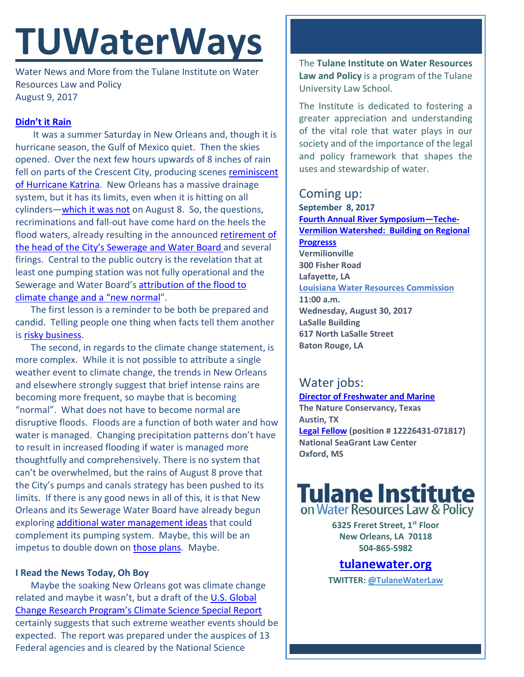# **TUWaterWays**

Water News and More from the Tulane Institute on Water Resources Law and Policy August 9, 2017

## **[Didn't it Rain](https://open.spotify.com/user/1227449038/playlist/1UrYcEuFv5mSqQBEEMOdx3)**

It was a summer Saturday in New Orleans and, though it is hurricane season, the Gulf of Mexico quiet. Then the skies opened. Over the next few hours upwards of 8 inches of rain fell on parts of the Crescent City, producing scenes reminiscent [of Hurricane Katrina.](https://www.instagram.com/p/BXdj4RtD6hA/?taken-by=galacticfunknola) New Orleans has a massive drainage system, but it has its limits, even when it is hitting on all cylinders[—which it was not](http://www.nola.com/politics/index.ssf/2017/08/drainage_pumps_in_lakeview_wer.html) on August 8. So, the questions, recriminations and fall-out have come hard on the heels the flood waters, already resulting in the announced retirement of [the head of the City's Sewerage and Water Board](http://www.wwltv.com/news/local/cedric-grant-announces-retirement-from-swb/462832580) and several firings. Central to the public outcry is the revelation that at least one pumping station was not fully operational and the Sewerage and Water Board's [attribution of the flood to](http://www.wdsu.com/article/was-saturday-s-flooding-normal-for-new-orleans-officials-disagree/11645234)  [climate change and a "new normal"](http://www.wdsu.com/article/was-saturday-s-flooding-normal-for-new-orleans-officials-disagree/11645234).

The first lesson is a reminder to be both be prepared and candid. Telling people one thing when facts tell them another is [risky business.](http://mentalfloss.com/article/67263/13-old-time-facts-about-risky-business)

The second, in regards to the climate change statement, is more complex. While it is not possible to attribute a single weather event to climate change, the trends in New Orleans and elsewhere strongly suggest that brief intense rains are becoming more frequent, so maybe that is becoming "normal". What does not have to become normal are disruptive floods. Floods are a function of both water and how water is managed. Changing precipitation patterns don't have to result in increased flooding if water is managed more thoughtfully and comprehensively. There is no system that can't be overwhelmed, but the rains of August 8 prove that the City's pumps and canals strategy has been pushed to its limits. If there is any good news in all of this, it is that New Orleans and its Sewerage Water Board have already begun exploring [additional water management ideas](https://www.nola.gov/resilience/resilience-projects/mirabeau/) that could complement its pumping system. Maybe, this will be an impetus to double down on [those plans.](http://livingwithwater.com/) Maybe.

### **I Read the News Today, Oh Boy**

Maybe the soaking New Orleans got was climate change related and maybe it wasn't, but a draft of the [U.S. Global](http://www.nytimes.com/packages/pdf/climate/2017/climate-report-final-draft-clean.pdf)  [Change Research Program's Climate Science Special Report](http://www.nytimes.com/packages/pdf/climate/2017/climate-report-final-draft-clean.pdf) certainly suggests that such extreme weather events should be expected. The report was prepared under the auspices of 13 Federal agencies and is cleared by the National Science

The **Tulane Institute on Water Resources Law and Policy** is a program of the Tulane University Law School.

The Institute is dedicated to fostering a greater appreciation and understanding of the vital role that water plays in our society and of the importance of the legal and policy framework that shapes the uses and stewardship of water.

## Coming up:

**September 8, 2017 [Fourth Annual River Symposium—Teche-](https://www.eventbrite.com/e/symposium-teche-vermilion-watershed-building-on-regional-progress-tickets-27041868958)[Vermilion Watershed: Building on Regional](https://www.eventbrite.com/e/symposium-teche-vermilion-watershed-building-on-regional-progress-tickets-27041868958)  [Progresss](https://www.eventbrite.com/e/symposium-teche-vermilion-watershed-building-on-regional-progress-tickets-27041868958) Vermilionville 300 Fisher Road Lafayette, LA Louisiana Water Resources Commission 11:00 a.m. Wednesday, August 30, 2017 LaSalle Building 617 North LaSalle Street Baton Rouge, LA**

# Water jobs:

**[Director of Freshwater and Marine](https://careers.nature.org/psp/tnccareers/APPLICANT/APPL/c/HRS_HRAM.HRS_APP_SCHJOB.GBL?Page=HRS_APP_JBPST&Action=U&FOCUS=Applicant&SiteId=1&JobOpeningId=45552&PostingSeq=1) The Nature Conservancy, Texas Austin, TX [Legal Fellow](https://jobs.olemiss.edu/) (position # 12226431-071817) National SeaGrant Law Center Oxford, MS** 



**6325 Freret Street, 1st Floor New Orleans, LA 70118 504-865-5982** 

**tulanewater.org**

**TWITTER: [@TulaneWaterLaw](http://www.twitter.com/TulaneWaterLaw)**